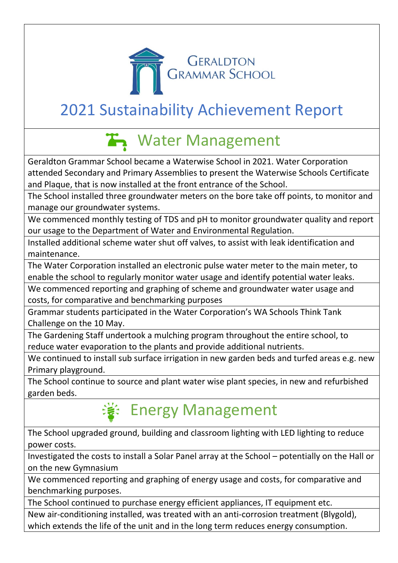

### 2021 Sustainability Achievement Report

## **T** Water Management

Geraldton Grammar School became a Waterwise School in 2021. Water Corporation attended Secondary and Primary Assemblies to present the Waterwise Schools Certificate and Plaque, that is now installed at the front entrance of the School.

The School installed three groundwater meters on the bore take off points, to monitor and manage our groundwater systems.

We commenced monthly testing of TDS and pH to monitor groundwater quality and report our usage to the Department of Water and Environmental Regulation.

Installed additional scheme water shut off valves, to assist with leak identification and maintenance.

The Water Corporation installed an electronic pulse water meter to the main meter, to enable the school to regularly monitor water usage and identify potential water leaks.

We commenced reporting and graphing of scheme and groundwater water usage and costs, for comparative and benchmarking purposes

Grammar students participated in the Water Corporation's WA Schools Think Tank Challenge on the 10 May.

The Gardening Staff undertook a mulching program throughout the entire school, to reduce water evaporation to the plants and provide additional nutrients.

We continued to install sub surface irrigation in new garden beds and turfed areas e.g. new Primary playground.

The School continue to source and plant water wise plant species, in new and refurbished garden beds.

#### **※ Energy Management**

The School upgraded ground, building and classroom lighting with LED lighting to reduce power costs.

Investigated the costs to install a Solar Panel array at the School – potentially on the Hall or on the new Gymnasium

We commenced reporting and graphing of energy usage and costs, for comparative and benchmarking purposes.

The School continued to purchase energy efficient appliances, IT equipment etc.

New air-conditioning installed, was treated with an anti-corrosion treatment (Blygold), which extends the life of the unit and in the long term reduces energy consumption.